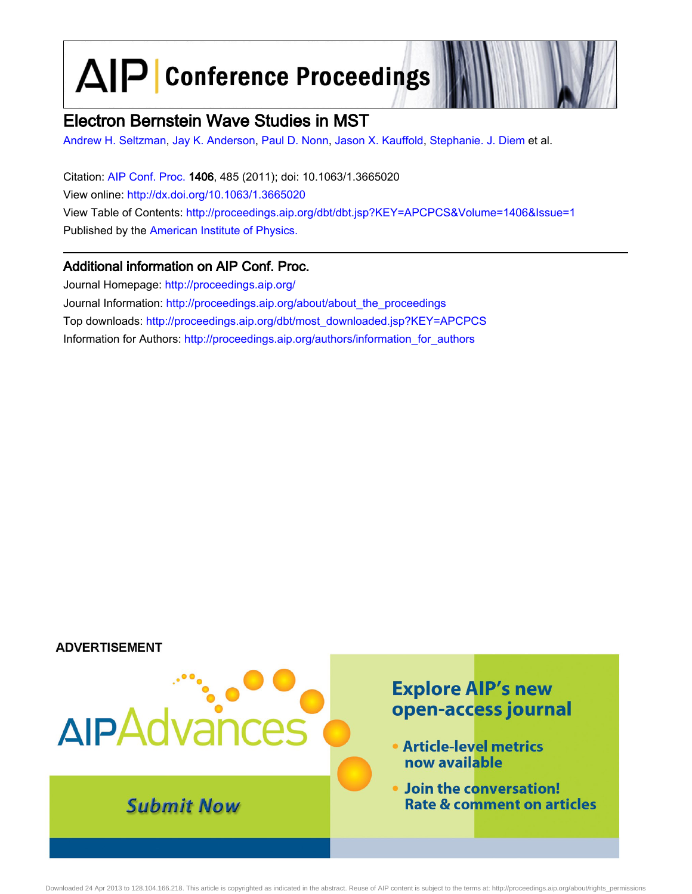# $\Delta$  $\vert$ P Conference Proceedings

## Electron Bernstein Wave Studies in MST

[Andrew H. Seltzman](http://scitation.aip.org/vsearch/servlet/VerityServlet?KEY=ALL&uSeDeFaUlTkEy=TrUe&possible1=Andrew H. Seltzman&possible1zone=author&maxdisp=25&smode=strresults&aqs=true&ver=pdfcov), [Jay K. Anderson,](http://scitation.aip.org/vsearch/servlet/VerityServlet?KEY=ALL&uSeDeFaUlTkEy=TrUe&possible1=Jay K. Anderson&possible1zone=author&maxdisp=25&smode=strresults&aqs=true&ver=pdfcov) [Paul D. Nonn,](http://scitation.aip.org/vsearch/servlet/VerityServlet?KEY=ALL&uSeDeFaUlTkEy=TrUe&possible1=Paul D. Nonn&possible1zone=author&maxdisp=25&smode=strresults&aqs=true&ver=pdfcov) [Jason X. Kauffold,](http://scitation.aip.org/vsearch/servlet/VerityServlet?KEY=ALL&uSeDeFaUlTkEy=TrUe&possible1=Jason X. Kauffold&possible1zone=author&maxdisp=25&smode=strresults&aqs=true&ver=pdfcov) [Stephanie. J. Diem](http://scitation.aip.org/vsearch/servlet/VerityServlet?KEY=ALL&uSeDeFaUlTkEy=TrUe&possible1=Stephanie. J. Diem&possible1zone=author&maxdisp=25&smode=strresults&aqs=true&ver=pdfcov) et al.

Citation: [AIP Conf. Proc.](http://proceedings.aip.org/?ver=pdfcov) 1406, 485 (2011); doi: 10.1063/1.3665020 View online: [http://dx.doi.org/10.1063/1.3665020](http://link.aip.org/link/doi/10.1063/1.3665020?ver=pdfcov) View Table of Contents: [http://proceedings.aip.org/dbt/dbt.jsp?KEY=APCPCS&Volume=1406&Issue=1](http://proceedings.aip.org/dbt/dbt.jsp?KEY=APCPCS&Volume=1406&Issue=1&ver=pdfcov) Published by the [American Institute of Physics.](http://www.aip.org/?ver=pdfcov)

### Additional information on AIP Conf. Proc.

Journal Homepage: [http://proceedings.aip.org/](http://proceedings.aip.org/?ver=pdfcov) Journal Information: [http://proceedings.aip.org/about/about\\_the\\_proceedings](http://proceedings.aip.org/about/about_the_proceedings?ver=pdfcov) Top downloads: [http://proceedings.aip.org/dbt/most\\_downloaded.jsp?KEY=APCPCS](http://proceedings.aip.org/dbt/most_downloaded.jsp?KEY=APCPCS&ver=pdfcov) Information for Authors: [http://proceedings.aip.org/authors/information\\_for\\_authors](http://proceedings.aip.org/authors/information_for_authors?ver=pdfcov)

#### **ADVERTISEMENT**

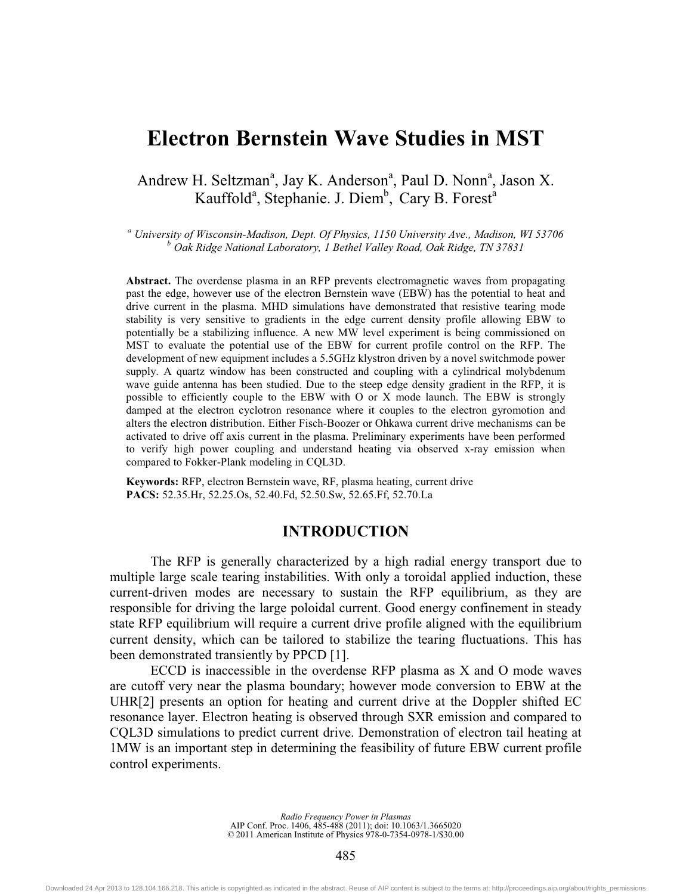## **Electron Bernstein Wave Studies in MST**

Andrew H. Seltzman<sup>a</sup>, Jay K. Anderson<sup>a</sup>, Paul D. Nonn<sup>a</sup>, Jason X. Kauffold<sup>a</sup>, Stephanie. J. Diem<sup>b</sup>, Cary B. Forest<sup>a</sup>

*<sup>a</sup> University of Wisconsin-Madison, Dept. Of Physics, 1150 University Ave., Madison, WI 53706 <sup>b</sup> Oak Ridge National Laboratory, 1 Bethel Valley Road, Oak Ridge, TN 37831* 

**Abstract.** The overdense plasma in an RFP prevents electromagnetic waves from propagating past the edge, however use of the electron Bernstein wave (EBW) has the potential to heat and drive current in the plasma. MHD simulations have demonstrated that resistive tearing mode stability is very sensitive to gradients in the edge current density profile allowing EBW to potentially be a stabilizing influence. A new MW level experiment is being commissioned on MST to evaluate the potential use of the EBW for current profile control on the RFP. The development of new equipment includes a 5.5GHz klystron driven by a novel switchmode power supply. A quartz window has been constructed and coupling with a cylindrical molybdenum wave guide antenna has been studied. Due to the steep edge density gradient in the RFP, it is possible to efficiently couple to the EBW with O or X mode launch. The EBW is strongly damped at the electron cyclotron resonance where it couples to the electron gyromotion and alters the electron distribution. Either Fisch-Boozer or Ohkawa current drive mechanisms can be activated to drive off axis current in the plasma. Preliminary experiments have been performed to verify high power coupling and understand heating via observed x-ray emission when compared to Fokker-Plank modeling in CQL3D.

**Keywords:** RFP, electron Bernstein wave, RF, plasma heating, current drive **PACS:** 52.35.Hr, 52.25.Os, 52.40.Fd, 52.50.Sw, 52.65.Ff, 52.70.La

#### **INTRODUCTION**

The RFP is generally characterized by a high radial energy transport due to multiple large scale tearing instabilities. With only a toroidal applied induction, these current-driven modes are necessary to sustain the RFP equilibrium, as they are responsible for driving the large poloidal current. Good energy confinement in steady state RFP equilibrium will require a current drive profile aligned with the equilibrium current density, which can be tailored to stabilize the tearing fluctuations. This has been demonstrated transiently by PPCD [1].

 ECCD is inaccessible in the overdense RFP plasma as X and O mode waves are cutoff very near the plasma boundary; however mode conversion to EBW at the UHR[2] presents an option for heating and current drive at the Doppler shifted EC resonance layer. Electron heating is observed through SXR emission and compared to CQL3D simulations to predict current drive. Demonstration of electron tail heating at 1MW is an important step in determining the feasibility of future EBW current profile control experiments.

> *Radio Frequency Power in Plasmas* AIP Conf. Proc. 1406, 485-488 (2011); doi: 10.1063/1.3665020 © 2011 American Institute of Physics 978-0-7354-0978-1/\$30.00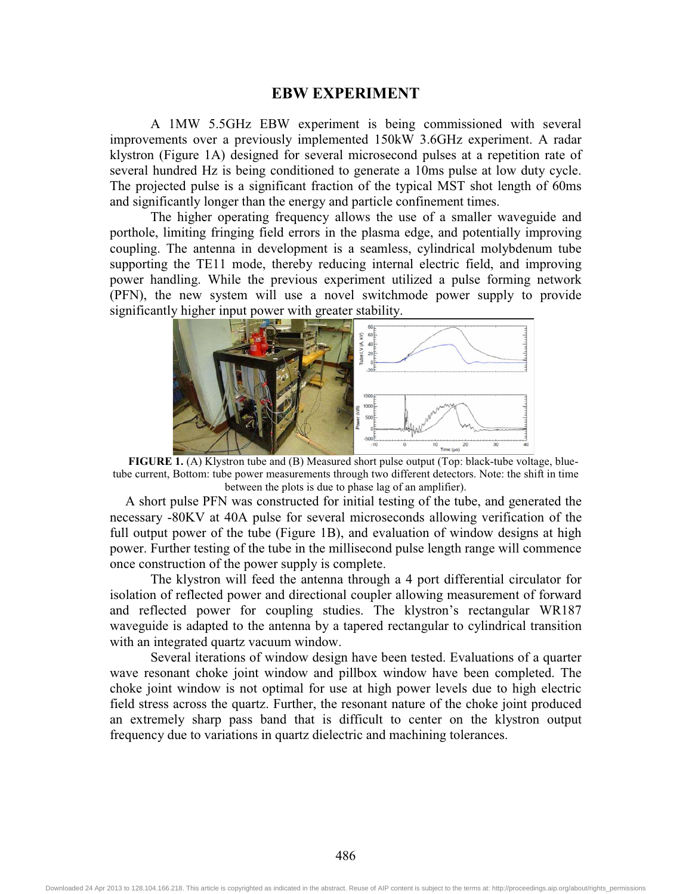#### **EBW EXPERIMENT**

 A 1MW 5.5GHz EBW experiment is being commissioned with several improvements over a previously implemented 150kW 3.6GHz experiment. A radar klystron (Figure 1A) designed for several microsecond pulses at a repetition rate of several hundred Hz is being conditioned to generate a 10ms pulse at low duty cycle. The projected pulse is a significant fraction of the typical MST shot length of 60ms and significantly longer than the energy and particle confinement times.

The higher operating frequency allows the use of a smaller waveguide and porthole, limiting fringing field errors in the plasma edge, and potentially improving coupling. The antenna in development is a seamless, cylindrical molybdenum tube supporting the TE11 mode, thereby reducing internal electric field, and improving power handling. While the previous experiment utilized a pulse forming network (PFN), the new system will use a novel switchmode power supply to provide significantly higher input power with greater stability.



**FIGURE 1.** (A) Klystron tube and (B) Measured short pulse output (Top: black-tube voltage, bluetube current, Bottom: tube power measurements through two different detectors. Note: the shift in time between the plots is due to phase lag of an amplifier).

A short pulse PFN was constructed for initial testing of the tube, and generated the necessary -80KV at 40A pulse for several microseconds allowing verification of the full output power of the tube (Figure 1B), and evaluation of window designs at high power. Further testing of the tube in the millisecond pulse length range will commence once construction of the power supply is complete.

 The klystron will feed the antenna through a 4 port differential circulator for isolation of reflected power and directional coupler allowing measurement of forward and reflected power for coupling studies. The klystron's rectangular WR187 waveguide is adapted to the antenna by a tapered rectangular to cylindrical transition with an integrated quartz vacuum window.

Several iterations of window design have been tested. Evaluations of a quarter wave resonant choke joint window and pillbox window have been completed. The choke joint window is not optimal for use at high power levels due to high electric field stress across the quartz. Further, the resonant nature of the choke joint produced an extremely sharp pass band that is difficult to center on the klystron output frequency due to variations in quartz dielectric and machining tolerances.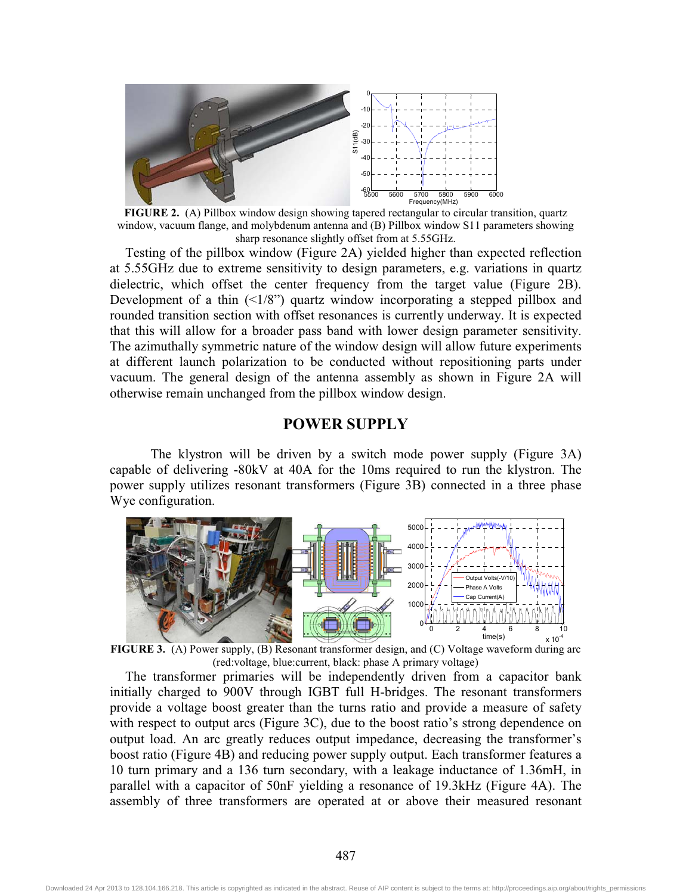

**FIGURE 2.** (A) Pillbox window design showing tapered rectangular to circular transition, quartz window, vacuum flange, and molybdenum antenna and (B) Pillbox window S11 parameters showing sharp resonance slightly offset from at 5.55GHz.

Testing of the pillbox window (Figure 2A) yielded higher than expected reflection at 5.55GHz due to extreme sensitivity to design parameters, e.g. variations in quartz dielectric, which offset the center frequency from the target value (Figure 2B). Development of a thin  $\left(\frac{<1/8"}{\ }$  quartz window incorporating a stepped pillbox and rounded transition section with offset resonances is currently underway. It is expected that this will allow for a broader pass band with lower design parameter sensitivity. The azimuthally symmetric nature of the window design will allow future experiments at different launch polarization to be conducted without repositioning parts under vacuum. The general design of the antenna assembly as shown in Figure 2A will otherwise remain unchanged from the pillbox window design.

#### **POWER SUPPLY**

The klystron will be driven by a switch mode power supply (Figure 3A) capable of delivering -80kV at 40A for the 10ms required to run the klystron. The power supply utilizes resonant transformers (Figure 3B) connected in a three phase Wye configuration.



**FIGURE 3.** (A) Power supply, (B) Resonant transformer design, and (C) Voltage waveform during arc (red:voltage, blue:current, black: phase A primary voltage)

The transformer primaries will be independently driven from a capacitor bank initially charged to 900V through IGBT full H-bridges. The resonant transformers provide a voltage boost greater than the turns ratio and provide a measure of safety with respect to output arcs (Figure 3C), due to the boost ratio's strong dependence on output load. An arc greatly reduces output impedance, decreasing the transformer's boost ratio (Figure 4B) and reducing power supply output. Each transformer features a 10 turn primary and a 136 turn secondary, with a leakage inductance of 1.36mH, in parallel with a capacitor of 50nF yielding a resonance of 19.3kHz (Figure 4A). The assembly of three transformers are operated at or above their measured resonant